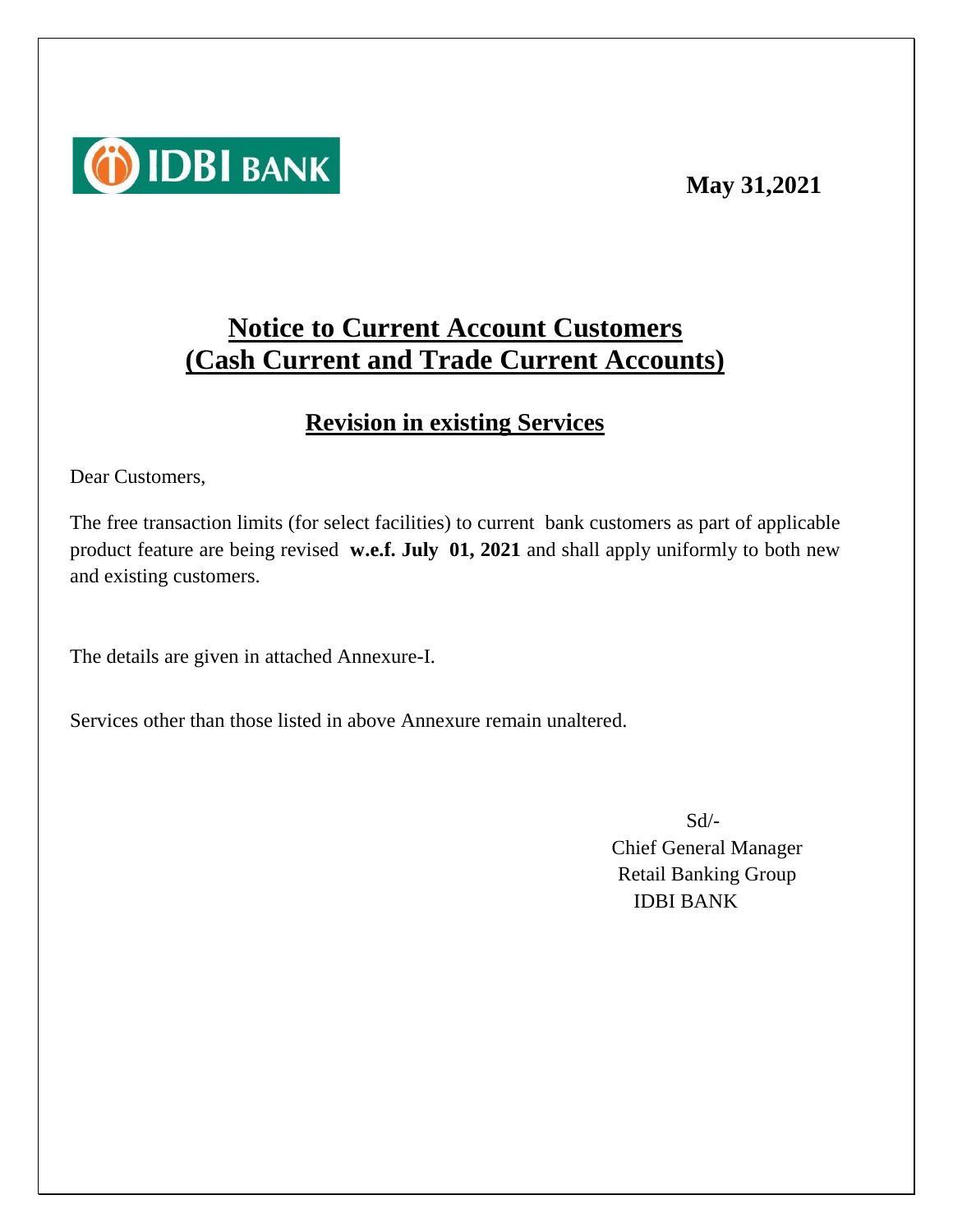#### **May 31,2021**



# **Notice to Current Account Customers (Cash Current and Trade Current Accounts)**

### **Revision in existing Services**

Dear Customers,

The free transaction limits (for select facilities) to current bank customers as part of applicable product feature are being revised **w.e.f. July 01, 2021** and shall apply uniformly to both new and existing customers.

The details are given in attached Annexure-I.

Services other than those listed in above Annexure remain unaltered.

Sd/- Chief General Manager Retail Banking Group IDBI BANK